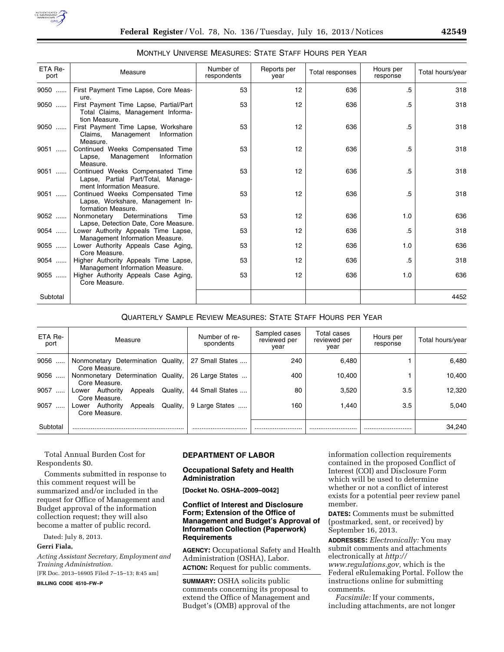

## MONTHLY UNIVERSE MEASURES: STATE STAFF HOURS PER YEAR

| ETA Re-<br>port | Measure                                                                                             | Number of<br>respondents | Reports per<br>vear | Total responses | Hours per<br>response | Total hours/year |
|-----------------|-----------------------------------------------------------------------------------------------------|--------------------------|---------------------|-----------------|-----------------------|------------------|
| 9050            | First Payment Time Lapse, Core Meas-<br>ure.                                                        | 53                       | 12                  | 636             | .5                    | 318              |
| 9050            | First Payment Time Lapse, Partial/Part<br>Total Claims, Management Informa-<br>tion Measure.        | 53                       | 12                  | 636             | .5                    | 318              |
| 9050            | First Payment Time Lapse, Workshare<br>Claims, Management<br>Information<br>Measure.                | 53                       | 12                  | 636             | .5                    | 318              |
| $9051$          | Continued Weeks Compensated Time<br>Management Information<br>Lapse.<br>Measure.                    | 53                       | 12                  | 636             | .5                    | 318              |
| $9051$          | Continued Weeks Compensated Time<br>Lapse, Partial Part/Total, Manage-<br>ment Information Measure. | 53                       | 12                  | 636             | .5                    | 318              |
| 9051            | Continued Weeks Compensated Time<br>Lapse, Workshare, Management In-<br>formation Measure.          | 53                       | 12                  | 636             | .5                    | 318              |
| 9052            | Nonmonetary Determinations<br>Time<br>Lapse, Detection Date, Core Measure.                          | 53                       | 12                  | 636             | 1.0                   | 636              |
| 9054            | Lower Authority Appeals Time Lapse,<br>Management Information Measure.                              | 53                       | 12                  | 636             | .5                    | 318              |
| 9055            | Lower Authority Appeals Case Aging,<br>Core Measure.                                                | 53                       | 12                  | 636             | 1.0                   | 636              |
| 9054            | Higher Authority Appeals Time Lapse,<br>Management Information Measure.                             | 53                       | 12                  | 636             | .5                    | 318              |
| 9055            | Higher Authority Appeals Case Aging,<br>Core Measure.                                               | 53                       | 12                  | 636             | 1.0                   | 636              |
| Subtotal        |                                                                                                     |                          |                     |                 |                       | 4452             |

## QUARTERLY SAMPLE REVIEW MEASURES: STATE STAFF HOURS PER YEAR

| ETA Re-<br>port  | Measure                                                 | Number of re-<br>spondents | Sampled cases<br>reviewed per<br>vear | Total cases<br>reviewed per<br>year | Hours per<br>response | Total hours/year |
|------------------|---------------------------------------------------------|----------------------------|---------------------------------------|-------------------------------------|-----------------------|------------------|
| 9056<br>$\cdots$ | Nonmonetary Determination Quality,<br>Core Measure.     | 27 Small States            | 240                                   | 6.480                               |                       | 6.480            |
| 9056<br>$\cdots$ | Nonmonetary Determination Quality,<br>Core Measure.     | 26 Large States            | 400                                   | 10,400                              |                       | 10,400           |
| 9057             | Quality,<br>Lower Authority<br>Appeals<br>Core Measure. | 44 Small States            | 80                                    | 3,520                               | 3.5                   | 12.320           |
| 9057<br>$\cdots$ | Lower Authority<br>Quality,<br>Appeals<br>Core Measure. | 9 Large States             | 160                                   | 1.440                               | 3.5                   | 5.040            |
| Subtotal         |                                                         |                            |                                       |                                     |                       | 34.240           |

Total Annual Burden Cost for Respondents \$0.

Comments submitted in response to this comment request will be summarized and/or included in the request for Office of Management and Budget approval of the information collection request; they will also become a matter of public record.

Dated: July 8, 2013.

## **Gerri Fiala,**

*Acting Assistant Secretary, Employment and Training Administration.* 

[FR Doc. 2013–16905 Filed 7–15–13; 8:45 am]

**BILLING CODE 4510–FW–P** 

## **DEPARTMENT OF LABOR**

## **Occupational Safety and Health Administration**

**[Docket No. OSHA–2009–0042]** 

## **Conflict of Interest and Disclosure Form; Extension of the Office of Management and Budget's Approval of Information Collection (Paperwork) Requirements**

**AGENCY:** Occupational Safety and Health Administration (OSHA), Labor. **ACTION:** Request for public comments.

**SUMMARY:** OSHA solicits public comments concerning its proposal to extend the Office of Management and Budget's (OMB) approval of the

information collection requirements contained in the proposed Conflict of Interest (COI) and Disclosure Form which will be used to determine whether or not a conflict of interest exists for a potential peer review panel member.

**DATES:** Comments must be submitted (postmarked, sent, or received) by September 16, 2013.

**ADDRESSES:** *Electronically:* You may submit comments and attachments electronically at *[http://](http://www.regulations.gov) [www.regulations.gov,](http://www.regulations.gov)* which is the Federal eRulemaking Portal. Follow the instructions online for submitting comments.

*Facsimile:* If your comments, including attachments, are not longer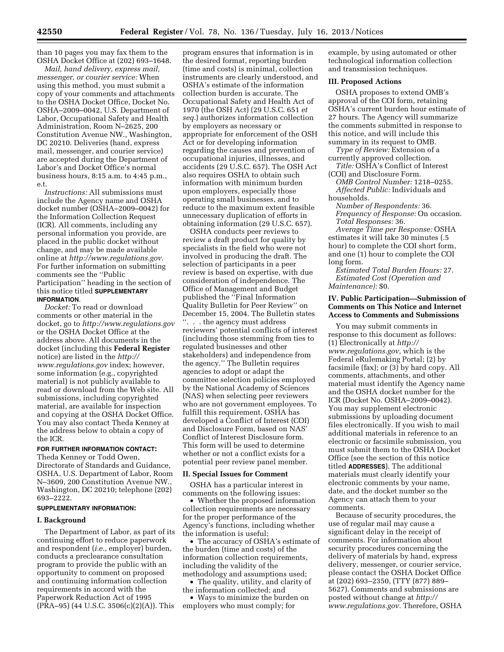than 10 pages you may fax them to the OSHA Docket Office at (202) 693–1648.

*Mail, hand delivery, express mail, messenger, or courier service:* When using this method, you must submit a copy of your comments and attachments to the OSHA Docket Office, Docket No. OSHA–2009–0042, U.S. Department of Labor, Occupational Safety and Health Administration, Room N–2625, 200 Constitution Avenue NW., Washington, DC 20210. Deliveries (hand, express mail, messenger, and courier service) are accepted during the Department of Labor's and Docket Office's normal business hours, 8:15 a.m. to 4:45 p.m., e.t.

*Instructions:* All submissions must include the Agency name and OSHA docket number (OSHA–2009–0042) for the Information Collection Request (ICR). All comments, including any personal information you provide, are placed in the public docket without change, and may be made available online at *[http://www.regulations.gov.](http://www.regulations.gov)*  For further information on submitting comments see the ''Public Participation'' heading in the section of this notice titled **SUPPLEMENTARY INFORMATION**.

*Docket:* To read or download comments or other material in the docket, go to *<http://www.regulations.gov>*  or the OSHA Docket Office at the address above. All documents in the docket (including this **Federal Register**  notice) are listed in the *[http://](http://www.regulations.gov) [www.regulations.gov](http://www.regulations.gov)* index; however, some information (e.g., copyrighted material) is not publicly available to read or download from the Web site. All submissions, including copyrighted material, are available for inspection and copying at the OSHA Docket Office. You may also contact Theda Kenney at the address below to obtain a copy of the ICR.

# **FOR FURTHER INFORMATION CONTACT:**

Theda Kenney or Todd Owen, Directorate of Standards and Guidance, OSHA, U.S. Department of Labor, Room N–3609, 200 Constitution Avenue NW., Washington, DC 20210; telephone (202) 693–2222.

## **SUPPLEMENTARY INFORMATION:**

#### **I. Background**

The Department of Labor, as part of its continuing effort to reduce paperwork and respondent (*i.e.,* employer) burden, conducts a preclearance consultation program to provide the public with an opportunity to comment on proposed and continuing information collection requirements in accord with the Paperwork Reduction Act of 1995 (PRA–95) (44 U.S.C. 3506(c)(2)(A)). This

program ensures that information is in the desired format, reporting burden (time and costs) is minimal, collection instruments are clearly understood, and OSHA's estimate of the information collection burden is accurate. The Occupational Safety and Health Act of 1970 (the OSH Act) (29 U.S.C. 651 *et seq.*) authorizes information collection by employers as necessary or appropriate for enforcement of the OSH Act or for developing information regarding the causes and prevention of occupational injuries, illnesses, and accidents (29 U.S.C. 657). The OSH Act also requires OSHA to obtain such information with minimum burden upon employers, especially those operating small businesses, and to reduce to the maximum extent feasible unnecessary duplication of efforts in obtaining information (29 U.S.C. 657).

OSHA conducts peer reviews to review a draft product for quality by specialists in the field who were not involved in producing the draft. The selection of participants in a peer review is based on expertise, with due consideration of independence. The Office of Management and Budget published the ''Final Information Quality Bulletin for Peer Review'' on December 15, 2004. The Bulletin states ''. . . the agency must address reviewers' potential conflicts of interest (including those stemming from ties to regulated businesses and other stakeholders) and independence from the agency.'' The Bulletin requires agencies to adopt or adapt the committee selection policies employed by the National Academy of Sciences (NAS) when selecting peer reviewers who are not government employees. To fulfill this requirement, OSHA has developed a Conflict of Interest (COI) and Disclosure Form, based on NAS' Conflict of Interest Disclosure form. This form will be used to determine whether or not a conflict exists for a potential peer review panel member.

#### **II. Special Issues for Comment**

OSHA has a particular interest in comments on the following issues:

• Whether the proposed information collection requirements are necessary for the proper performance of the Agency's functions, including whether the information is useful;

• The accuracy of OSHA's estimate of the burden (time and costs) of the information collection requirements, including the validity of the methodology and assumptions used;

• The quality, utility, and clarity of

the information collected; and

• Ways to minimize the burden on employers who must comply; for

example, by using automated or other technological information collection and transmission techniques.

#### **III. Proposed Actions**

OSHA proposes to extend OMB's approval of the COI form, retaining OSHA's current burden hour estimate of 27 hours. The Agency will summarize the comments submitted in response to this notice, and will include this summary in its request to OMB.

*Type of Review:* Extension of a currently approved collection.

*Title:* OSHA's Conflict of Interest (COI) and Disclosure Form.

*OMB Control Number:* 1218–0255. *Affected Public:* Individuals and households.

*Number of Respondents:* 36. *Frequency of Response:* On occasion. *Total Responses:* 36.

*Average Time per Response:* OSHA estimates it will take 30 minutes (.5 hour) to complete the COI short form, and one (1) hour to complete the COI long form.

*Estimated Total Burden Hours:* 27. *Estimated Cost (Operation and Maintenance):* \$0.

## **IV. Public Participation—Submission of Comments on This Notice and Internet Access to Comments and Submissions**

You may submit comments in response to this document as follows: (1) Electronically at *[http://](http://www.regulations.gov)  [www.regulations.gov,](http://www.regulations.gov)* which is the Federal eRulemaking Portal; (2) by facsimile (fax); or (3) by hard copy. All comments, attachments, and other material must identify the Agency name and the OSHA docket number for the ICR (Docket No. OSHA–2009–0042). You may supplement electronic submissions by uploading document files electronically. If you wish to mail additional materials in reference to an electronic or facsimile submission, you must submit them to the OSHA Docket Office (see the section of this notice titled **ADDRESSES**). The additional materials must clearly identify your electronic comments by your name, date, and the docket number so the Agency can attach them to your comments.

Because of security procedures, the use of regular mail may cause a significant delay in the receipt of comments. For information about security procedures concerning the delivery of materials by hand, express delivery, messenger, or courier service, please contact the OSHA Docket Office at (202) 693–2350, (TTY (877) 889– 5627). Comments and submissions are posted without change at *[http://](http://www.regulations.gov)  [www.regulations.gov.](http://www.regulations.gov)* Therefore, OSHA